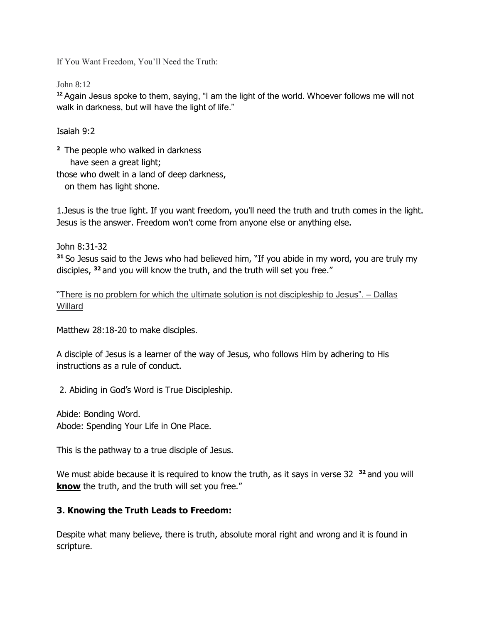If You Want Freedom, You'll Need the Truth:

John 8:12

**<sup>12</sup>**Again Jesus spoke to them, saying, "I am the light of the world. Whoever follows me will not walk in darkness, but will have the light of life."

Isaiah 9:2

**<sup>2</sup>**The people who walked in darkness have seen a great light; those who dwelt in a land of deep darkness, on them has light shone.

1.Jesus is the true light. If you want freedom, you'll need the truth and truth comes in the light. Jesus is the answer. Freedom won't come from anyone else or anything else.

John 8:31-32 **<sup>31</sup>**So Jesus said to the Jews who had believed him, "If you abide in my word, you are truly my disciples, **<sup>32</sup>**and you will know the truth, and the truth will set you free."

"[There is no problem for which the ultimate solution is not discipleship to Jesus". –](https://twitter.com/intent/tweet?url=https%3A%2F%2Fcareynieuwhof.com%2Fepisode440%2F&text=There%20is%20no%20problem%20for%20which%20the%20ultimate%20solution%20is%20not%20discipleship%20to%20Jesus.%20%E2%80%93%20Dallas%20Willard%20&related) Dallas [Willard](https://twitter.com/intent/tweet?url=https%3A%2F%2Fcareynieuwhof.com%2Fepisode440%2F&text=There%20is%20no%20problem%20for%20which%20the%20ultimate%20solution%20is%20not%20discipleship%20to%20Jesus.%20%E2%80%93%20Dallas%20Willard%20&related)

Matthew 28:18-20 to make disciples.

A disciple of Jesus is a learner of the way of Jesus, who follows Him by adhering to His instructions as a rule of conduct.

2. Abiding in God's Word is True Discipleship.

Abide: Bonding Word. Abode: Spending Your Life in One Place.

This is the pathway to a true disciple of Jesus.

We must abide because it is required to know the truth, as it says in verse 32<sup>32</sup> and you will **know** the truth, and the truth will set you free."

## **3. Knowing the Truth Leads to Freedom:**

Despite what many believe, there is truth, absolute moral right and wrong and it is found in scripture.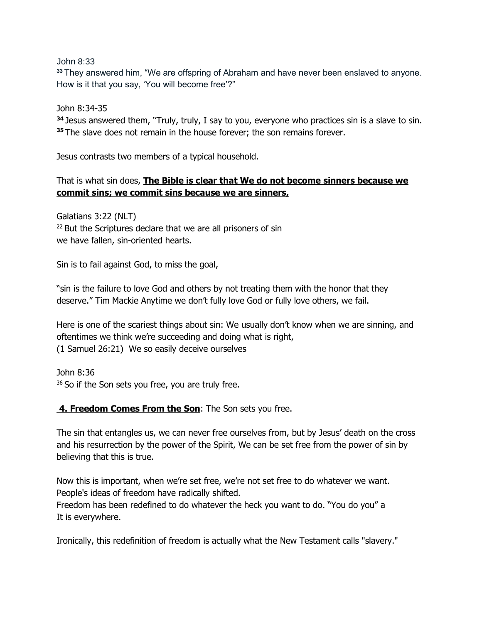John 8:33

**<sup>33</sup>**They answered him, "We are offspring of Abraham and have never been enslaved to anyone. How is it that you say, 'You will become free'?"

John 8:34-35

**<sup>34</sup>**Jesus answered them, "Truly, truly, I say to you, everyone who practices sin is a slave to sin. **<sup>35</sup>**The slave does not remain in the house forever; the son remains forever.

Jesus contrasts two members of a typical household.

## That is what sin does, **The Bible is clear that We do not become sinners because we commit sins; we commit sins because we are sinners,**

Galatians 3:22 (NLT) <sup>22</sup> But the Scriptures declare that we are all prisoners of sin we have fallen, sin-oriented hearts.

Sin is to fail against God, to miss the goal,

"sin is the failure to love God and others by not treating them with the honor that they deserve." Tim Mackie Anytime we don't fully love God or fully love others, we fail.

Here is one of the scariest things about sin: We usually don't know when we are sinning, and oftentimes we think we're succeeding and doing what is right, (1 Samuel 26:21) We so easily deceive ourselves

John 8:36 <sup>36</sup> So if the Son sets you free, you are truly free.

## **4. Freedom Comes From the Son**: The Son sets you free.

The sin that entangles us, we can never free ourselves from, but by Jesus' death on the cross and his resurrection by the power of the Spirit, We can be set free from the power of sin by believing that this is true.

Now this is important, when we're set free, we're not set free to do whatever we want. People's ideas of freedom have radically shifted.

Freedom has been redefined to do whatever the heck you want to do. "You do you" a It is everywhere.

Ironically, this redefinition of freedom is actually what the New Testament calls "slavery."